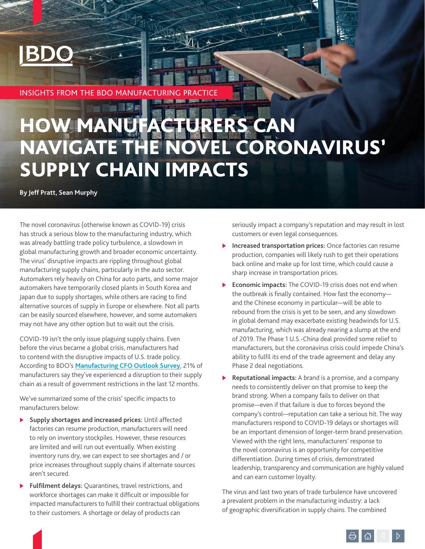# **INSIGHTS FROM THE BDO MANUFACTURING PRAC**

# HOW MANUFACTURERS CAN NAVIGATE THE NOVEL CORONAVIRUS' SUPPLY CHAIN IMPACTS

**By Jeff Pratt, Sean Murphy** 

The novel coronavirus (otherwise known as COVID-19) crisis has struck a serious blow to the manufacturing industry, which was already battling trade policy turbulence, a slowdown in global manufacturing growth and broader economic uncertainty. The virus' disruptive impacts are rippling throughout global manufacturing supply chains, particularly in the auto sector. Automakers rely heavily on China for auto parts, and some major automakers have temporarily closed plants in South Korea and Japan due to supply shortages, while others are racing to find alternative sources of supply in Europe or elsewhere. Not all parts can be easily sourced elsewhere, however, and some automakers may not have any other option but to wait out the crisis.

COVID-19 isn't the only issue plaguing supply chains. Even before the virus became a global crisis, manufacturers had to contend with the disruptive impacts of U.S. trade policy. According to BDO's **[Manufacturing CFO Outlook Survey](https://www.bdo.com/insights/industries/manufacturing-distribution/bdo-cfo-manufacturing-outlook-survey)**, 21% of manufacturers say they've experienced a disruption to their supply chain as a result of government restrictions in the last 12 months.

We've summarized some of the crisis' specific impacts to manufacturers below:

- **>** Supply shortages and increased prices: Until affected factories can resume production, manufacturers will need to rely on inventory stockpiles. However, these resources are limited and will run out eventually. When existing inventory runs dry, we can expect to see shortages and / or price increases throughout supply chains if alternate sources aren't secured.
- **Fulfilment delays:** Quarantines, travel restrictions, and workforce shortages can make it difficult or impossible for impacted manufacturers to fulfill their contractual obligations to their customers. A shortage or delay of products can

seriously impact a company's reputation and may result in lost customers or even legal consequences.

- **Increased transportation prices:** Once factories can resume production, companies will likely rush to get their operations back online and make up for lost time, which could cause a sharp increase in transportation prices.
- **Economic impacts:** The COVID-19 crisis does not end when the outbreak is finally contained. How fast the economy and the Chinese economy in particular—will be able to rebound from the crisis is yet to be seen, and any slowdown in global demand may exacerbate existing headwinds for U.S. manufacturing, which was already nearing a slump at the end of 2019. The Phase 1 U.S.-China deal provided some relief to manufacturers, but the coronavirus crisis could impede China's ability to fulfil its end of the trade agreement and delay any Phase 2 deal negotiations.
- **Reputational impacts:** A brand is a promise, and a company needs to consistently deliver on that promise to keep the brand strong. When a company fails to deliver on that promise—even if that failure is due to forces beyond the company's control—reputation can take a serious hit. The way manufacturers respond to COVID-19 delays or shortages will be an important dimension of longer-term brand preservation. Viewed with the right lens, manufacturers' response to the novel coronavirus is an opportunity for competitive differentiation. During times of crisis, demonstrated leadership, transparency and communication are highly valued and can earn customer loyalty.

The virus and last two years of trade turbulence have uncovered a prevalent problem in the manufacturing industry: a lack of geographic diversification in supply chains. The combined